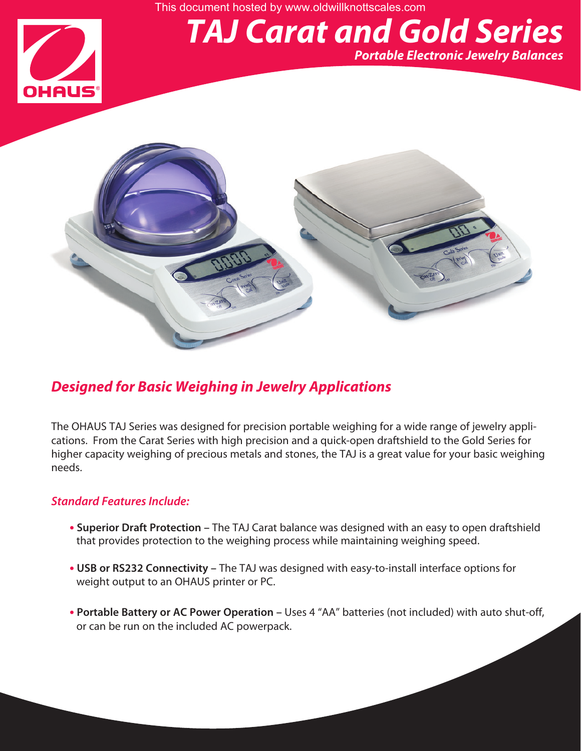This document hosted by www.oldwillknottscales.com

# HAUS

## *TAJ Carat and Gold Series*

*Portable Electronic Jewelry Balances*



### *Designed for Basic Weighing in Jewelry Applications*

The OHAUS TAJ Series was designed for precision portable weighing for a wide range of jewelry applications. From the Carat Series with high precision and a quick-open draftshield to the Gold Series for higher capacity weighing of precious metals and stones, the TAJ is a great value for your basic weighing needs.

#### *Standard Features Include:*

- **• Superior Draft Protection –** The TAJ Carat balance was designed with an easy to open draftshield that provides protection to the weighing process while maintaining weighing speed.
- **• USB or RS232 Connectivity –** The TAJ was designed with easy-to-install interface options for weight output to an OHAUS printer or PC.
- **• Portable Battery or AC Power Operation –** Uses 4 "AA" batteries (not included) with auto shut-off, or can be run on the included AC powerpack.